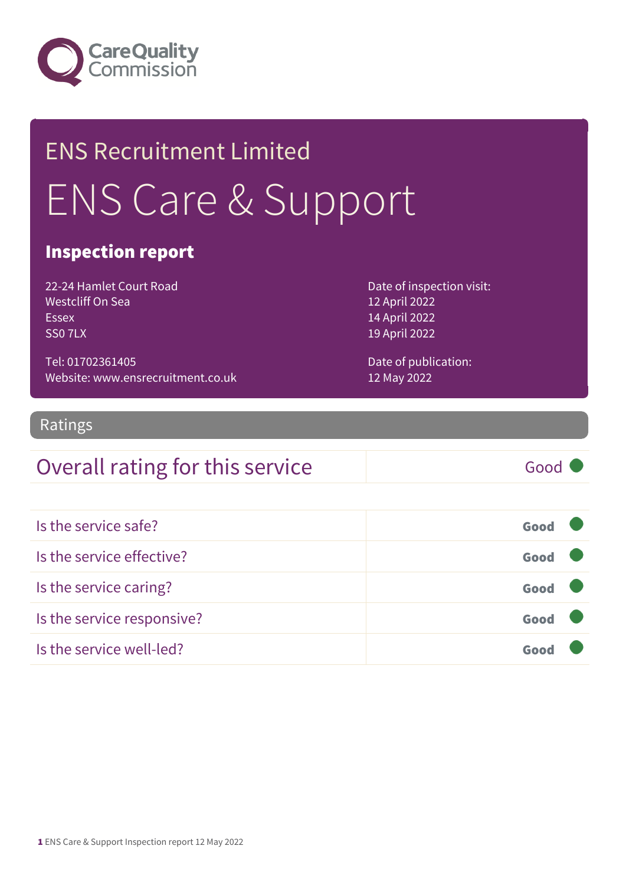

## ENS Recruitment Limited ENS Care & Support

#### Inspection report

22-24 Hamlet Court Road Westcliff On Sea Essex SS0 7LX

Tel: 01702361405 Website: www.ensrecruitment.co.uk Date of inspection visit: 12 April 2022 14 April 2022 19 April 2022

Date of publication: 12 May 2022

#### Ratings

### Overall rating for this service Good

| Is the service safe?       | Good |  |
|----------------------------|------|--|
| Is the service effective?  | Good |  |
| Is the service caring?     | Good |  |
| Is the service responsive? | Good |  |
| Is the service well-led?   | Goo  |  |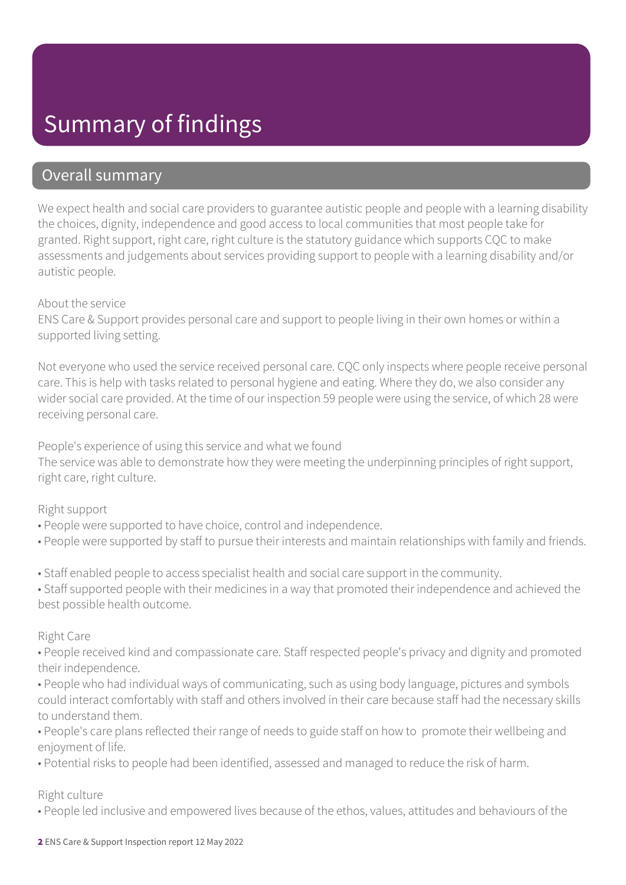### Summary of findings

#### Overall summary

We expect health and social care providers to guarantee autistic people and people with a learning disability the choices, dignity, independence and good access to local communities that most people take for granted. Right support, right care, right culture is the statutory guidance which supports CQC to make assessments and judgements about services providing support to people with a learning disability and/or autistic people.

#### About the service

ENS Care & Support provides personal care and support to people living in their own homes or within a supported living setting.

Not everyone who used the service received personal care. CQC only inspects where people receive personal care. This is help with tasks related to personal hygiene and eating. Where they do, we also consider any wider social care provided. At the time of our inspection 59 people were using the service, of which 28 were receiving personal care.

People's experience of using this service and what we found The service was able to demonstrate how they were meeting the underpinning principles of right support, right care, right culture.

#### Right support

- People were supported to have choice, control and independence.
- People were supported by staff to pursue their interests and maintain relationships with family and friends.
- Staff enabled people to access specialist health and social care support in the community.

• Staff supported people with their medicines in a way that promoted their independence and achieved the best possible health outcome.

#### Right Care

• People received kind and compassionate care. Staff respected people's privacy and dignity and promoted their independence.

- People who had individual ways of communicating, such as using body language, pictures and symbols could interact comfortably with staff and others involved in their care because staff had the necessary skills to understand them.
- People's care plans reflected their range of needs to guide staff on how to promote their wellbeing and enjoyment of life.
- Potential risks to people had been identified, assessed and managed to reduce the risk of harm.

#### Right culture

• People led inclusive and empowered lives because of the ethos, values, attitudes and behaviours of the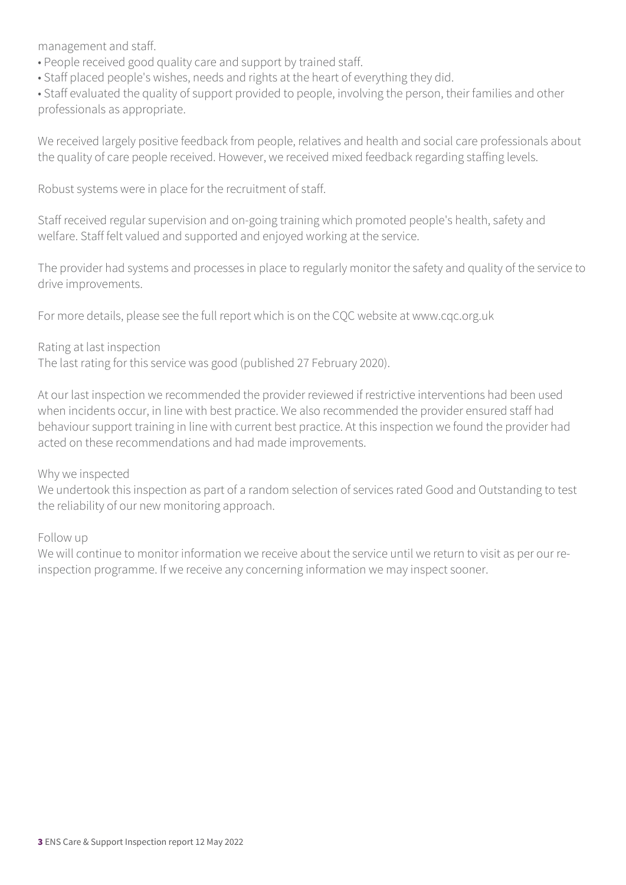management and staff.

- People received good quality care and support by trained staff.
- Staff placed people's wishes, needs and rights at the heart of everything they did.

• Staff evaluated the quality of support provided to people, involving the person, their families and other professionals as appropriate.

We received largely positive feedback from people, relatives and health and social care professionals about the quality of care people received. However, we received mixed feedback regarding staffing levels.

Robust systems were in place for the recruitment of staff.

Staff received regular supervision and on-going training which promoted people's health, safety and welfare. Staff felt valued and supported and enjoyed working at the service.

The provider had systems and processes in place to regularly monitor the safety and quality of the service to drive improvements.

For more details, please see the full report which is on the CQC website at www.cqc.org.uk

#### Rating at last inspection

The last rating for this service was good (published 27 February 2020).

At our last inspection we recommended the provider reviewed if restrictive interventions had been used when incidents occur, in line with best practice. We also recommended the provider ensured staff had behaviour support training in line with current best practice. At this inspection we found the provider had acted on these recommendations and had made improvements.

#### Why we inspected

We undertook this inspection as part of a random selection of services rated Good and Outstanding to test the reliability of our new monitoring approach.

Follow up

We will continue to monitor information we receive about the service until we return to visit as per our reinspection programme. If we receive any concerning information we may inspect sooner.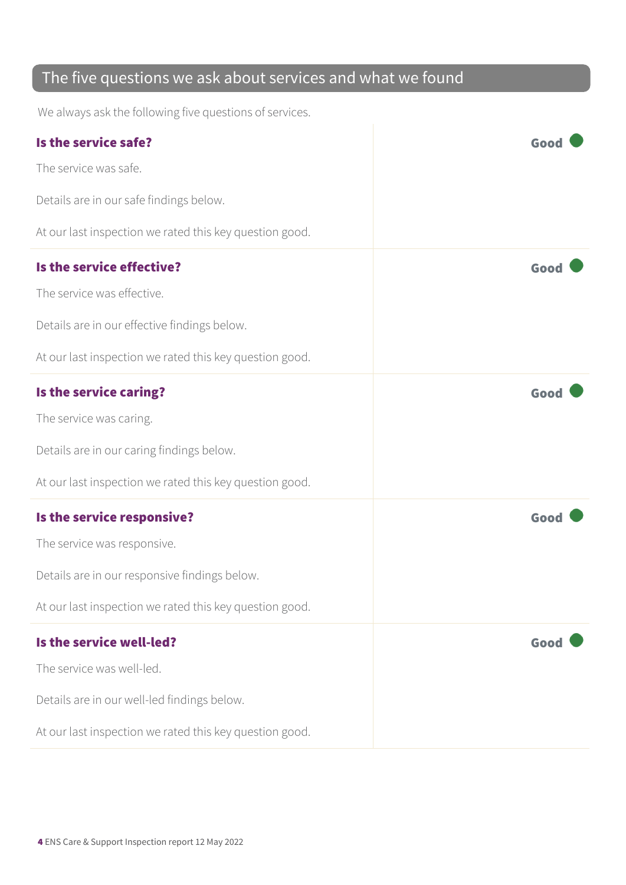### The five questions we ask about services and what we found

We always ask the following five questions of services.

| Is the service safe?                                    | Good |
|---------------------------------------------------------|------|
| The service was safe.                                   |      |
| Details are in our safe findings below.                 |      |
| At our last inspection we rated this key question good. |      |
| Is the service effective?                               | Good |
| The service was effective.                              |      |
| Details are in our effective findings below.            |      |
| At our last inspection we rated this key question good. |      |
| Is the service caring?                                  | Good |
| The service was caring.                                 |      |
| Details are in our caring findings below.               |      |
| At our last inspection we rated this key question good. |      |
| Is the service responsive?                              | Good |
| The service was responsive.                             |      |
| Details are in our responsive findings below.           |      |
| At our last inspection we rated this key question good. |      |
| Is the service well-led?                                | Good |
| The service was well-led.                               |      |
| Details are in our well-led findings below.             |      |
| At our last inspection we rated this key question good. |      |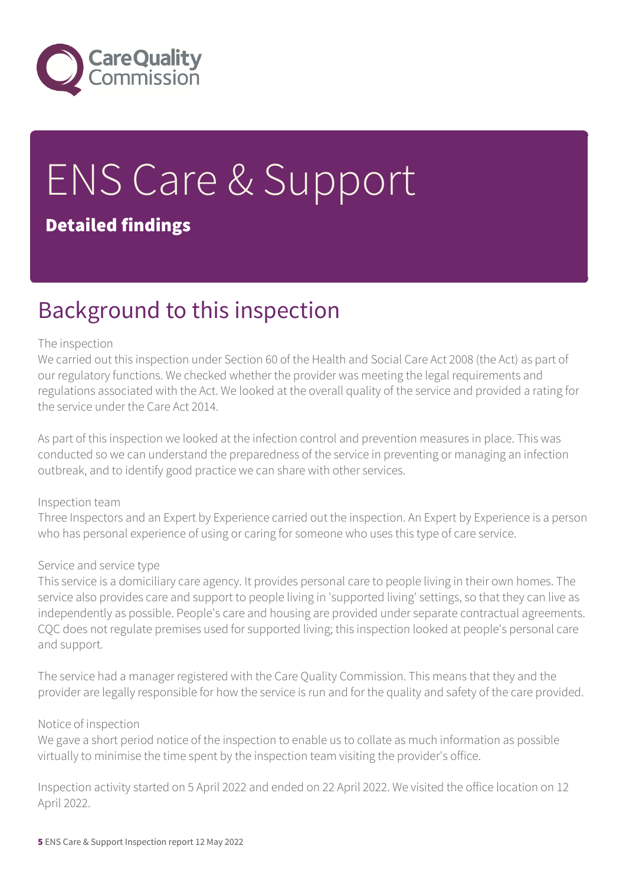

# ENS Care & Support

#### Detailed findings

### Background to this inspection

#### The inspection

We carried out this inspection under Section 60 of the Health and Social Care Act 2008 (the Act) as part of our regulatory functions. We checked whether the provider was meeting the legal requirements and regulations associated with the Act. We looked at the overall quality of the service and provided a rating for the service under the Care Act 2014.

As part of this inspection we looked at the infection control and prevention measures in place. This was conducted so we can understand the preparedness of the service in preventing or managing an infection outbreak, and to identify good practice we can share with other services.

#### Inspection team

Three Inspectors and an Expert by Experience carried out the inspection. An Expert by Experience is a person who has personal experience of using or caring for someone who uses this type of care service.

#### Service and service type

This service is a domiciliary care agency. It provides personal care to people living in their own homes. The service also provides care and support to people living in 'supported living' settings, so that they can live as independently as possible. People's care and housing are provided under separate contractual agreements. CQC does not regulate premises used for supported living; this inspection looked at people's personal care and support.

The service had a manager registered with the Care Quality Commission. This means that they and the provider are legally responsible for how the service is run and for the quality and safety of the care provided.

#### Notice of inspection

We gave a short period notice of the inspection to enable us to collate as much information as possible virtually to minimise the time spent by the inspection team visiting the provider's office.

Inspection activity started on 5 April 2022 and ended on 22 April 2022. We visited the office location on 12 April 2022.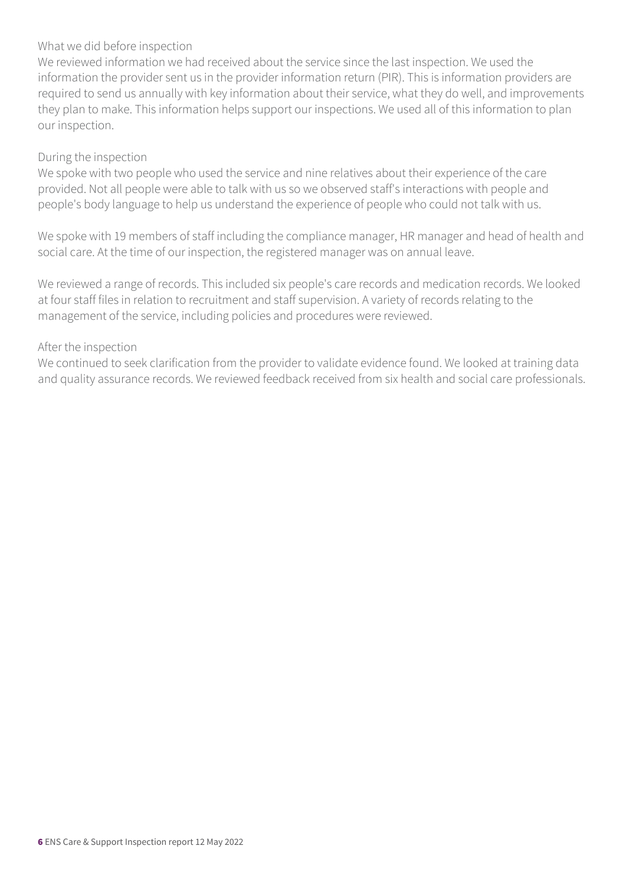#### What we did before inspection

We reviewed information we had received about the service since the last inspection. We used the information the provider sent us in the provider information return (PIR). This is information providers are required to send us annually with key information about their service, what they do well, and improvements they plan to make. This information helps support our inspections. We used all of this information to plan our inspection.

#### During the inspection

We spoke with two people who used the service and nine relatives about their experience of the care provided. Not all people were able to talk with us so we observed staff's interactions with people and people's body language to help us understand the experience of people who could not talk with us.

We spoke with 19 members of staff including the compliance manager, HR manager and head of health and social care. At the time of our inspection, the registered manager was on annual leave.

We reviewed a range of records. This included six people's care records and medication records. We looked at four staff files in relation to recruitment and staff supervision. A variety of records relating to the management of the service, including policies and procedures were reviewed.

#### After the inspection

We continued to seek clarification from the provider to validate evidence found. We looked at training data and quality assurance records. We reviewed feedback received from six health and social care professionals.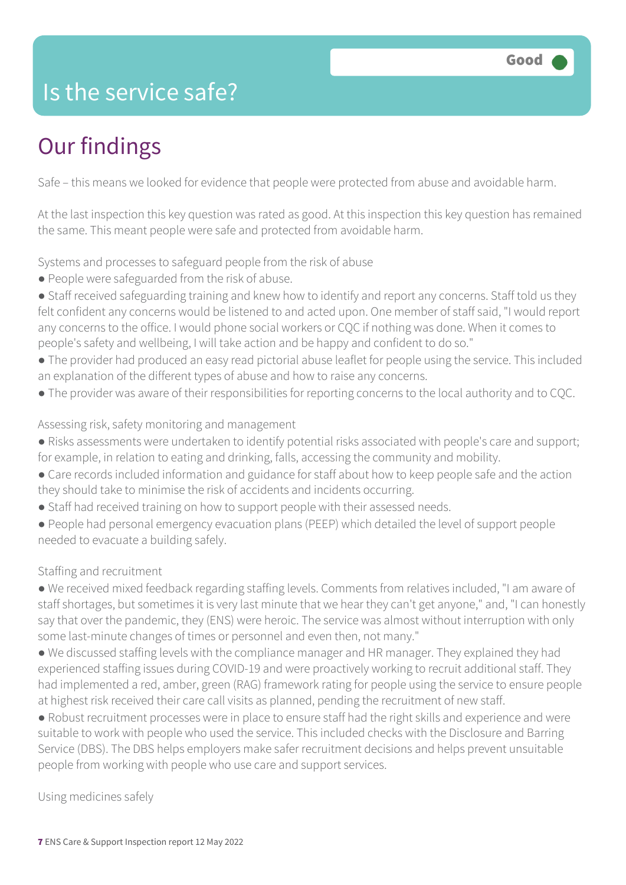### Is the service safe?

### Our findings

Safe – this means we looked for evidence that people were protected from abuse and avoidable harm.

At the last inspection this key question was rated as good. At this inspection this key question has remained the same. This meant people were safe and protected from avoidable harm.

Systems and processes to safeguard people from the risk of abuse

- People were safeguarded from the risk of abuse.
- Staff received safeguarding training and knew how to identify and report any concerns. Staff told us they felt confident any concerns would be listened to and acted upon. One member of staff said, "I would report any concerns to the office. I would phone social workers or CQC if nothing was done. When it comes to people's safety and wellbeing, I will take action and be happy and confident to do so."
- The provider had produced an easy read pictorial abuse leaflet for people using the service. This included an explanation of the different types of abuse and how to raise any concerns.
- The provider was aware of their responsibilities for reporting concerns to the local authority and to CQC.

#### Assessing risk, safety monitoring and management

- Risks assessments were undertaken to identify potential risks associated with people's care and support; for example, in relation to eating and drinking, falls, accessing the community and mobility.
- Care records included information and guidance for staff about how to keep people safe and the action they should take to minimise the risk of accidents and incidents occurring.
- Staff had received training on how to support people with their assessed needs.
- People had personal emergency evacuation plans (PEEP) which detailed the level of support people needed to evacuate a building safely.

#### Staffing and recruitment

● We received mixed feedback regarding staffing levels. Comments from relatives included, "I am aware of staff shortages, but sometimes it is very last minute that we hear they can't get anyone," and, "I can honestly say that over the pandemic, they (ENS) were heroic. The service was almost without interruption with only some last-minute changes of times or personnel and even then, not many."

● We discussed staffing levels with the compliance manager and HR manager. They explained they had experienced staffing issues during COVID-19 and were proactively working to recruit additional staff. They had implemented a red, amber, green (RAG) framework rating for people using the service to ensure people at highest risk received their care call visits as planned, pending the recruitment of new staff.

● Robust recruitment processes were in place to ensure staff had the right skills and experience and were suitable to work with people who used the service. This included checks with the Disclosure and Barring Service (DBS). The DBS helps employers make safer recruitment decisions and helps prevent unsuitable people from working with people who use care and support services.

Using medicines safely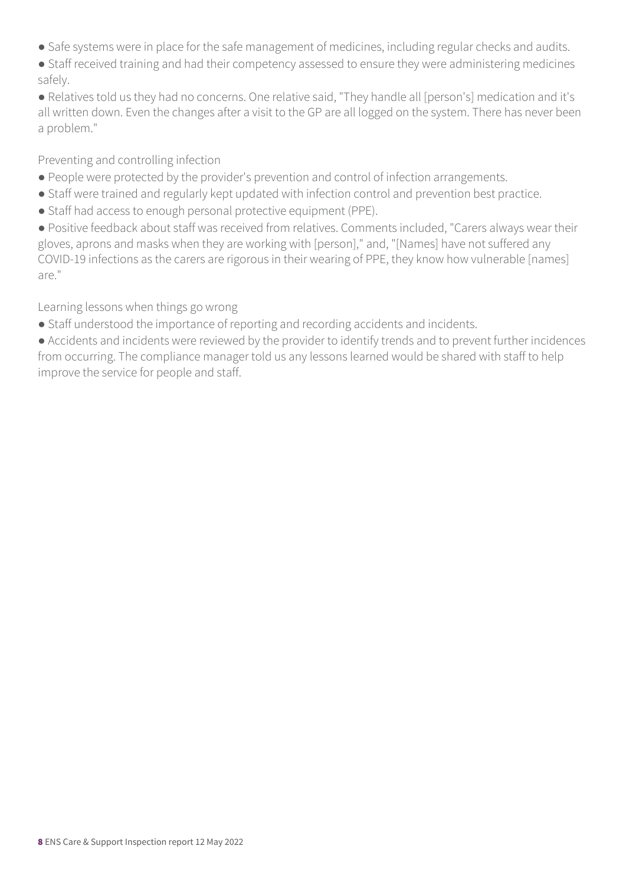- Safe systems were in place for the safe management of medicines, including regular checks and audits.
- Staff received training and had their competency assessed to ensure they were administering medicines safely.
- Relatives told us they had no concerns. One relative said, "They handle all [person's] medication and it's all written down. Even the changes after a visit to the GP are all logged on the system. There has never been a problem."

#### Preventing and controlling infection

- People were protected by the provider's prevention and control of infection arrangements.
- Staff were trained and regularly kept updated with infection control and prevention best practice.
- Staff had access to enough personal protective equipment (PPE).

● Positive feedback about staff was received from relatives. Comments included, "Carers always wear their gloves, aprons and masks when they are working with [person]," and, "[Names] have not suffered any COVID-19 infections as the carers are rigorous in their wearing of PPE, they know how vulnerable [names] are."

#### Learning lessons when things go wrong

● Staff understood the importance of reporting and recording accidents and incidents.

● Accidents and incidents were reviewed by the provider to identify trends and to prevent further incidences from occurring. The compliance manager told us any lessons learned would be shared with staff to help improve the service for people and staff.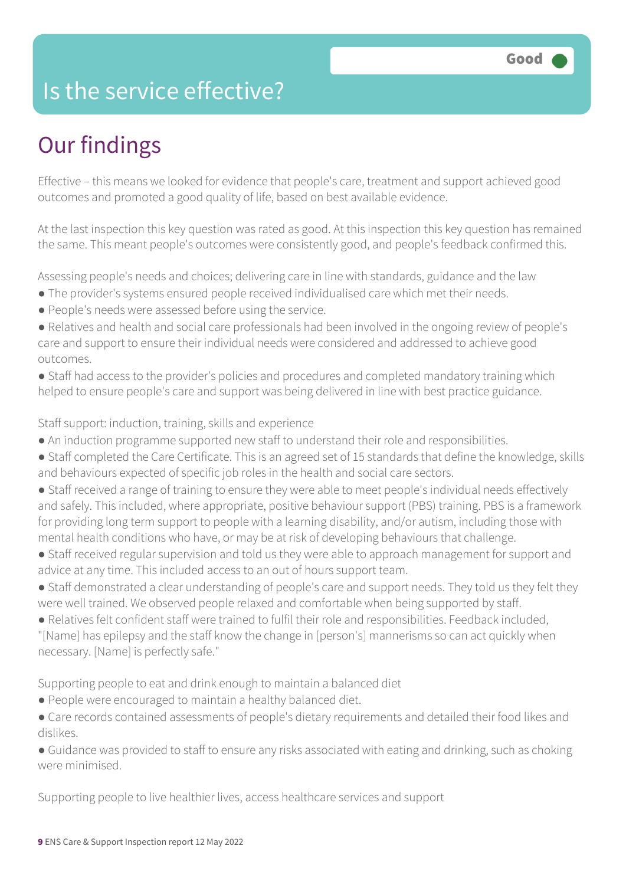### Is the service effective?

### Our findings

Effective – this means we looked for evidence that people's care, treatment and support achieved good outcomes and promoted a good quality of life, based on best available evidence.

At the last inspection this key question was rated as good. At this inspection this key question has remained the same. This meant people's outcomes were consistently good, and people's feedback confirmed this.

Assessing people's needs and choices; delivering care in line with standards, guidance and the law

- The provider's systems ensured people received individualised care which met their needs.
- People's needs were assessed before using the service.
- Relatives and health and social care professionals had been involved in the ongoing review of people's care and support to ensure their individual needs were considered and addressed to achieve good outcomes.
- Staff had access to the provider's policies and procedures and completed mandatory training which helped to ensure people's care and support was being delivered in line with best practice guidance.

Staff support: induction, training, skills and experience

- An induction programme supported new staff to understand their role and responsibilities.
- Staff completed the Care Certificate. This is an agreed set of 15 standards that define the knowledge, skills and behaviours expected of specific job roles in the health and social care sectors.
- Staff received a range of training to ensure they were able to meet people's individual needs effectively and safely. This included, where appropriate, positive behaviour support (PBS) training. PBS is a framework for providing long term support to people with a learning disability, and/or autism, including those with mental health conditions who have, or may be at risk of developing behaviours that challenge.
- Staff received regular supervision and told us they were able to approach management for support and advice at any time. This included access to an out of hours support team.
- Staff demonstrated a clear understanding of people's care and support needs. They told us they felt they were well trained. We observed people relaxed and comfortable when being supported by staff.
- Relatives felt confident staff were trained to fulfil their role and responsibilities. Feedback included, "[Name] has epilepsy and the staff know the change in [person's] mannerisms so can act quickly when necessary. [Name] is perfectly safe."

Supporting people to eat and drink enough to maintain a balanced diet

- People were encouraged to maintain a healthy balanced diet.
- Care records contained assessments of people's dietary requirements and detailed their food likes and dislikes.

● Guidance was provided to staff to ensure any risks associated with eating and drinking, such as choking were minimised.

Supporting people to live healthier lives, access healthcare services and support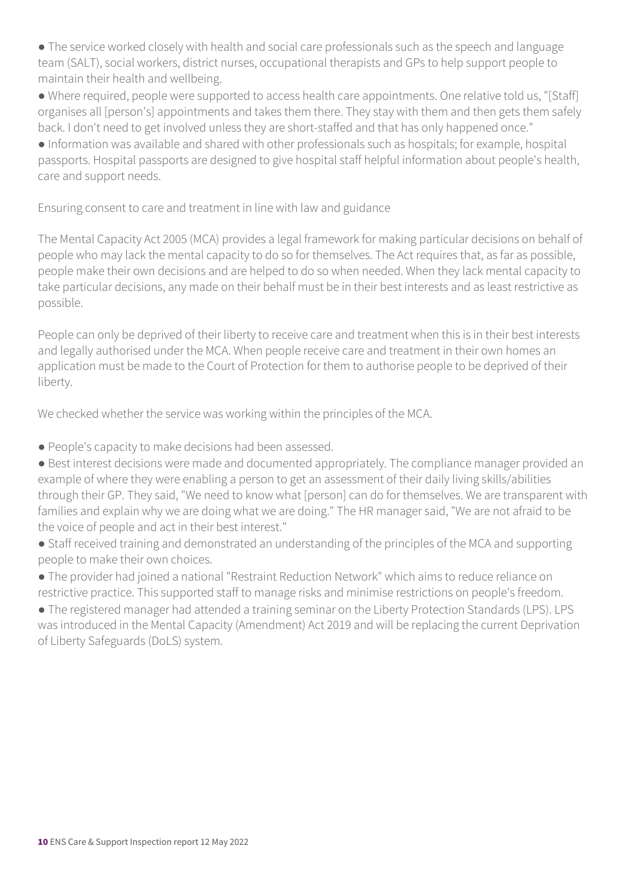• The service worked closely with health and social care professionals such as the speech and language team (SALT), social workers, district nurses, occupational therapists and GPs to help support people to maintain their health and wellbeing.

• Where required, people were supported to access health care appointments. One relative told us, "[Staff] organises all [person's] appointments and takes them there. They stay with them and then gets them safely back. I don't need to get involved unless they are short-staffed and that has only happened once."

● Information was available and shared with other professionals such as hospitals; for example, hospital passports. Hospital passports are designed to give hospital staff helpful information about people's health, care and support needs.

Ensuring consent to care and treatment in line with law and guidance

The Mental Capacity Act 2005 (MCA) provides a legal framework for making particular decisions on behalf of people who may lack the mental capacity to do so for themselves. The Act requires that, as far as possible, people make their own decisions and are helped to do so when needed. When they lack mental capacity to take particular decisions, any made on their behalf must be in their best interests and as least restrictive as possible.

People can only be deprived of their liberty to receive care and treatment when this is in their best interests and legally authorised under the MCA. When people receive care and treatment in their own homes an application must be made to the Court of Protection for them to authorise people to be deprived of their liberty.

We checked whether the service was working within the principles of the MCA.

- People's capacity to make decisions had been assessed.
- Best interest decisions were made and documented appropriately. The compliance manager provided an example of where they were enabling a person to get an assessment of their daily living skills/abilities through their GP. They said, "We need to know what [person] can do for themselves. We are transparent with families and explain why we are doing what we are doing." The HR manager said, "We are not afraid to be the voice of people and act in their best interest."
- Staff received training and demonstrated an understanding of the principles of the MCA and supporting people to make their own choices.
- The provider had joined a national "Restraint Reduction Network" which aims to reduce reliance on restrictive practice. This supported staff to manage risks and minimise restrictions on people's freedom.

● The registered manager had attended a training seminar on the Liberty Protection Standards (LPS). LPS was introduced in the Mental Capacity (Amendment) Act 2019 and will be replacing the current Deprivation of Liberty Safeguards (DoLS) system.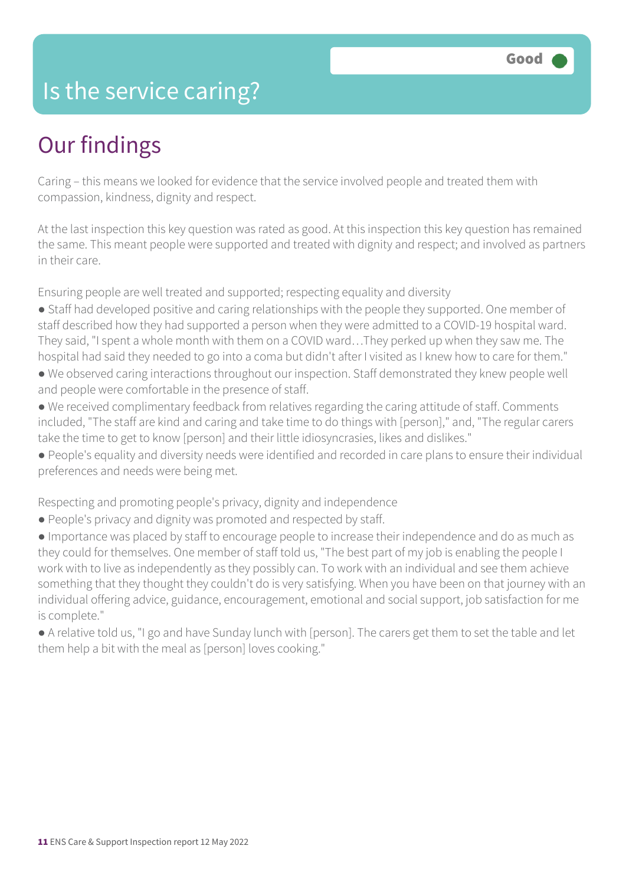### Is the service caring?

### Our findings

Caring – this means we looked for evidence that the service involved people and treated them with compassion, kindness, dignity and respect.

At the last inspection this key question was rated as good. At this inspection this key question has remained the same. This meant people were supported and treated with dignity and respect; and involved as partners in their care.

Ensuring people are well treated and supported; respecting equality and diversity

- Staff had developed positive and caring relationships with the people they supported. One member of staff described how they had supported a person when they were admitted to a COVID-19 hospital ward. They said, "I spent a whole month with them on a COVID ward…They perked up when they saw me. The hospital had said they needed to go into a coma but didn't after I visited as I knew how to care for them."
- We observed caring interactions throughout our inspection. Staff demonstrated they knew people well and people were comfortable in the presence of staff.
- We received complimentary feedback from relatives regarding the caring attitude of staff. Comments included, "The staff are kind and caring and take time to do things with [person]," and, "The regular carers take the time to get to know [person] and their little idiosyncrasies, likes and dislikes."
- People's equality and diversity needs were identified and recorded in care plans to ensure their individual preferences and needs were being met.

Respecting and promoting people's privacy, dignity and independence

● People's privacy and dignity was promoted and respected by staff.

● Importance was placed by staff to encourage people to increase their independence and do as much as they could for themselves. One member of staff told us, "The best part of my job is enabling the people I work with to live as independently as they possibly can. To work with an individual and see them achieve something that they thought they couldn't do is very satisfying. When you have been on that journey with an individual offering advice, guidance, encouragement, emotional and social support, job satisfaction for me is complete."

● A relative told us, "I go and have Sunday lunch with [person]. The carers get them to set the table and let them help a bit with the meal as [person] loves cooking."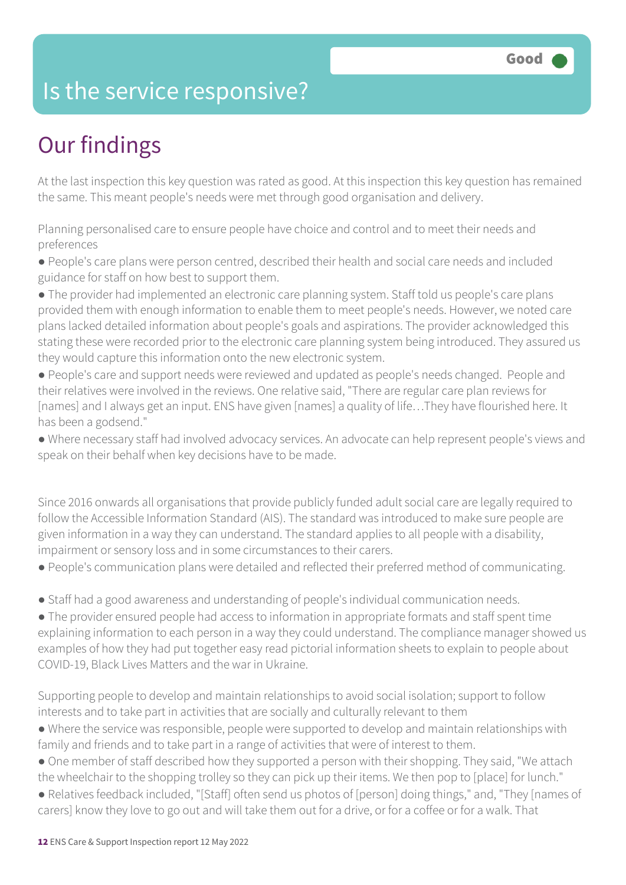### Is the service responsive?

### Our findings

At the last inspection this key question was rated as good. At this inspection this key question has remained the same. This meant people's needs were met through good organisation and delivery.

Planning personalised care to ensure people have choice and control and to meet their needs and preferences

● People's care plans were person centred, described their health and social care needs and included guidance for staff on how best to support them.

● The provider had implemented an electronic care planning system. Staff told us people's care plans provided them with enough information to enable them to meet people's needs. However, we noted care plans lacked detailed information about people's goals and aspirations. The provider acknowledged this stating these were recorded prior to the electronic care planning system being introduced. They assured us they would capture this information onto the new electronic system.

● People's care and support needs were reviewed and updated as people's needs changed. People and their relatives were involved in the reviews. One relative said, "There are regular care plan reviews for [names] and I always get an input. ENS have given [names] a quality of life...They have flourished here. It has been a godsend."

● Where necessary staff had involved advocacy services. An advocate can help represent people's views and speak on their behalf when key decisions have to be made.

Since 2016 onwards all organisations that provide publicly funded adult social care are legally required to follow the Accessible Information Standard (AIS). The standard was introduced to make sure people are given information in a way they can understand. The standard applies to all people with a disability, impairment or sensory loss and in some circumstances to their carers.

- People's communication plans were detailed and reflected their preferred method of communicating.
- Staff had a good awareness and understanding of people's individual communication needs.

● The provider ensured people had access to information in appropriate formats and staff spent time explaining information to each person in a way they could understand. The compliance manager showed us examples of how they had put together easy read pictorial information sheets to explain to people about COVID-19, Black Lives Matters and the war in Ukraine.

Supporting people to develop and maintain relationships to avoid social isolation; support to follow interests and to take part in activities that are socially and culturally relevant to them

- Where the service was responsible, people were supported to develop and maintain relationships with family and friends and to take part in a range of activities that were of interest to them.
- One member of staff described how they supported a person with their shopping. They said, "We attach the wheelchair to the shopping trolley so they can pick up their items. We then pop to [place] for lunch."
- Relatives feedback included, "[Staff] often send us photos of [person] doing things," and, "They [names of carers] know they love to go out and will take them out for a drive, or for a coffee or for a walk. That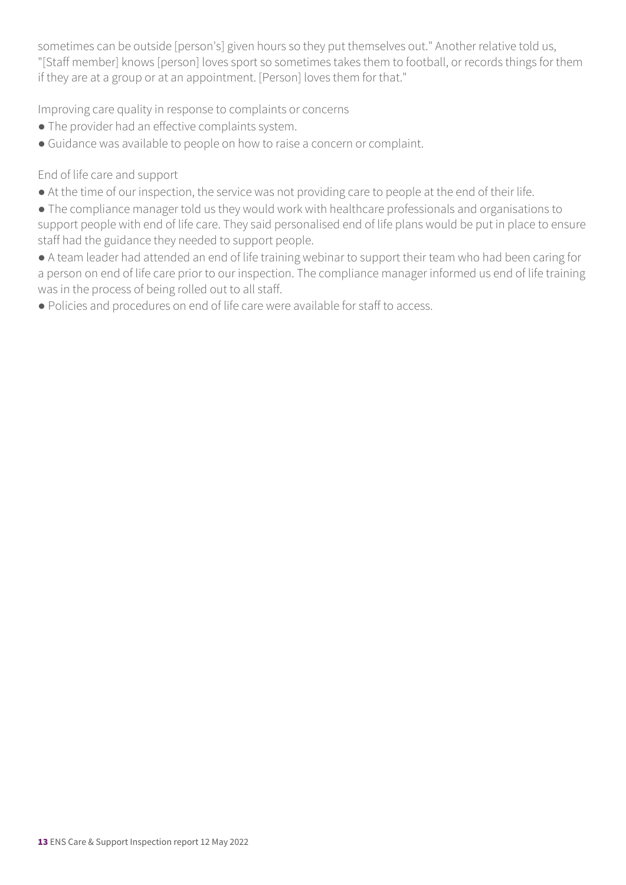sometimes can be outside [person's] given hours so they put themselves out." Another relative told us, "[Staff member] knows [person] loves sport so sometimes takes them to football, or records things for them if they are at a group or at an appointment. [Person] loves them for that."

Improving care quality in response to complaints or concerns

- The provider had an effective complaints system.
- Guidance was available to people on how to raise a concern or complaint.

End of life care and support

- At the time of our inspection, the service was not providing care to people at the end of their life.
- The compliance manager told us they would work with healthcare professionals and organisations to support people with end of life care. They said personalised end of life plans would be put in place to ensure staff had the guidance they needed to support people.
- A team leader had attended an end of life training webinar to support their team who had been caring for a person on end of life care prior to our inspection. The compliance manager informed us end of life training was in the process of being rolled out to all staff.
- Policies and procedures on end of life care were available for staff to access.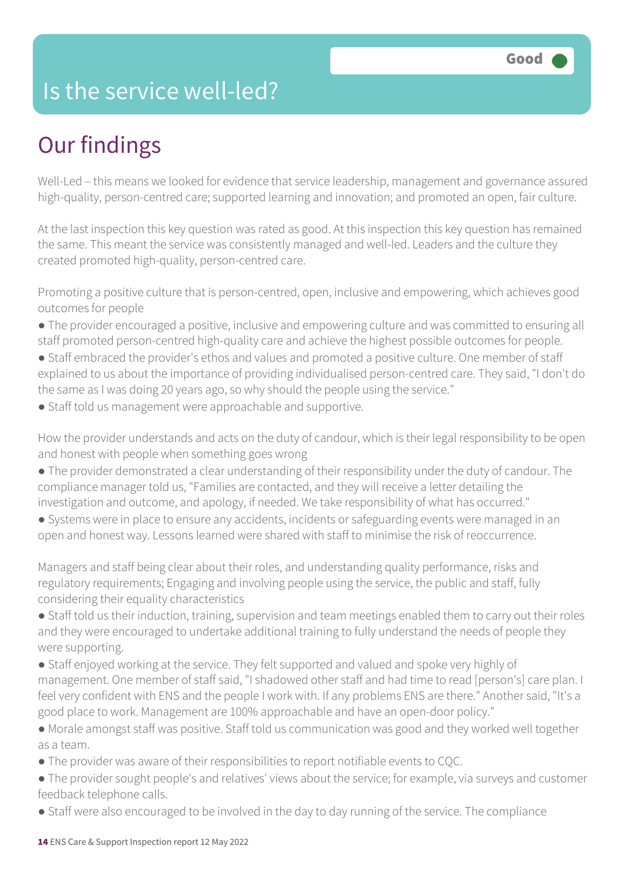### Is the service well-led?

### Our findings

Well-Led – this means we looked for evidence that service leadership, management and governance assured high-quality, person-centred care; supported learning and innovation; and promoted an open, fair culture.

At the last inspection this key question was rated as good. At this inspection this key question has remained the same. This meant the service was consistently managed and well-led. Leaders and the culture they created promoted high-quality, person-centred care.

Promoting a positive culture that is person-centred, open, inclusive and empowering, which achieves good outcomes for people

- The provider encouraged a positive, inclusive and empowering culture and was committed to ensuring all staff promoted person-centred high-quality care and achieve the highest possible outcomes for people.
- Staff embraced the provider's ethos and values and promoted a positive culture. One member of staff explained to us about the importance of providing individualised person-centred care. They said, "I don't do the same as I was doing 20 years ago, so why should the people using the service."
- Staff told us management were approachable and supportive.

How the provider understands and acts on the duty of candour, which is their legal responsibility to be open and honest with people when something goes wrong

- The provider demonstrated a clear understanding of their responsibility under the duty of candour. The compliance manager told us, "Families are contacted, and they will receive a letter detailing the investigation and outcome, and apology, if needed. We take responsibility of what has occurred."
- Systems were in place to ensure any accidents, incidents or safeguarding events were managed in an open and honest way. Lessons learned were shared with staff to minimise the risk of reoccurrence.

Managers and staff being clear about their roles, and understanding quality performance, risks and regulatory requirements; Engaging and involving people using the service, the public and staff, fully considering their equality characteristics

- Staff told us their induction, training, supervision and team meetings enabled them to carry out their roles and they were encouraged to undertake additional training to fully understand the needs of people they were supporting.
- Staff enjoyed working at the service. They felt supported and valued and spoke very highly of management. One member of staff said, "I shadowed other staff and had time to read [person's] care plan. I feel very confident with ENS and the people I work with. If any problems ENS are there." Another said, "It's a good place to work. Management are 100% approachable and have an open-door policy."
- Morale amongst staff was positive. Staff told us communication was good and they worked well together as a team.
- The provider was aware of their responsibilities to report notifiable events to CQC.
- The provider sought people's and relatives' views about the service; for example, via surveys and customer feedback telephone calls.
- Staff were also encouraged to be involved in the day to day running of the service. The compliance